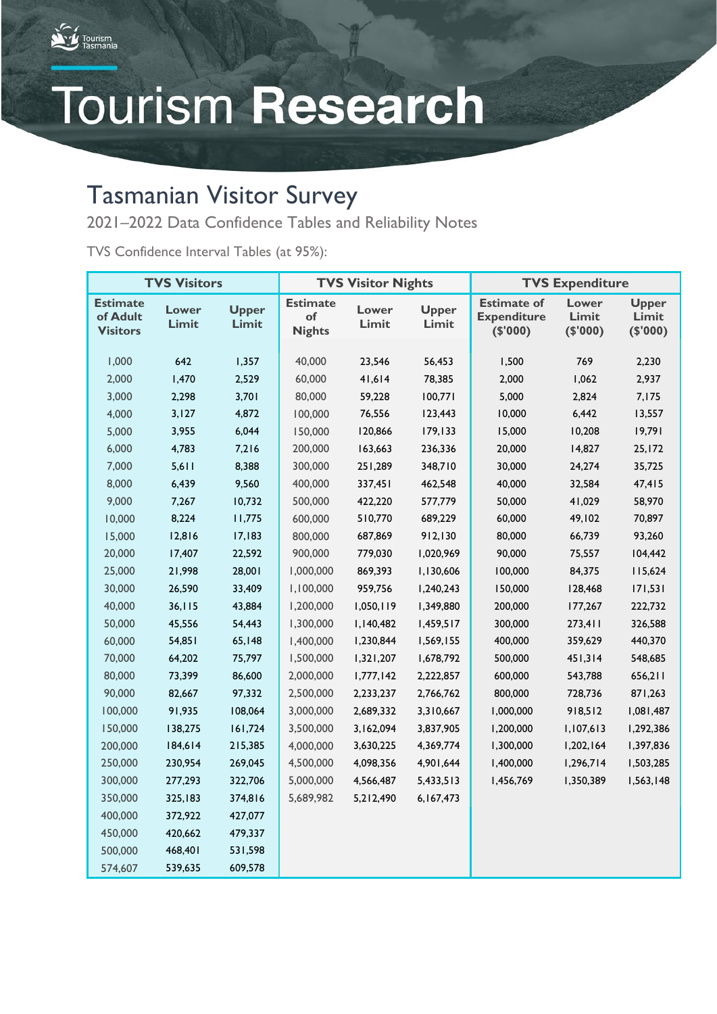

# **Tourism Research**

### Tasmanian Visitor Survey

2021–2022 Data Confidence Tables and Reliability Notes

TVS Confidence Interval Tables (at 95%):

| <b>TVS Visitors</b>                            |                |                       | <b>TVS Visitor Nights</b>              |                |                       | <b>TVS Expenditure</b>                               |                            |                                   |
|------------------------------------------------|----------------|-----------------------|----------------------------------------|----------------|-----------------------|------------------------------------------------------|----------------------------|-----------------------------------|
| <b>Estimate</b><br>of Adult<br><b>Visitors</b> | Lower<br>Limit | <b>Upper</b><br>Limit | <b>Estimate</b><br>of<br><b>Nights</b> | Lower<br>Limit | <b>Upper</b><br>Limit | <b>Estimate of</b><br><b>Expenditure</b><br>(\$'000) | Lower<br>Limit<br>(\$'000) | <b>Upper</b><br>Limit<br>(\$'000) |
| 1,000                                          | 642            | 1,357                 | 40,000                                 | 23,546         | 56,453                | 1,500                                                | 769                        | 2,230                             |
| 2,000                                          | 1,470          | 2,529                 | 60,000                                 | 41,614         | 78,385                | 2,000                                                | 1,062                      | 2,937                             |
| 3,000                                          | 2,298          | 3,701                 | 80,000                                 | 59,228         | 100,771               | 5,000                                                | 2,824                      | 7,175                             |
| 4,000                                          | 3,127          | 4,872                 | 100,000                                | 76,556         | 123,443               | 10,000                                               | 6,442                      | 13,557                            |
| 5,000                                          | 3,955          | 6,044                 | 150,000                                | 120,866        | 179,133               | 15,000                                               | 10,208                     | 19,791                            |
| 6,000                                          | 4,783          | 7,216                 | 200,000                                | 163,663        | 236,336               | 20,000                                               | 14,827                     | 25,172                            |
| 7,000                                          | 5,611          | 8,388                 | 300,000                                | 251,289        | 348,710               | 30,000                                               | 24,274                     | 35,725                            |
| 8,000                                          | 6,439          | 9,560                 | 400,000                                | 337,451        | 462,548               | 40,000                                               | 32,584                     | 47,415                            |
| 9,000                                          | 7,267          | 10,732                | 500,000                                | 422,220        | 577,779               | 50,000                                               | 41,029                     | 58,970                            |
| 10,000                                         | 8,224          | 11,775                | 600,000                                | 510,770        | 689,229               | 60,000                                               | 49,102                     | 70,897                            |
| 15,000                                         | 12,816         | 17,183                | 800,000                                | 687,869        | 912,130               | 80,000                                               | 66,739                     | 93,260                            |
| 20,000                                         | 17,407         | 22,592                | 900,000                                | 779,030        | 1,020,969             | 90,000                                               | 75,557                     | 104,442                           |
| 25,000                                         | 21,998         | 28,001                | 1,000,000                              | 869,393        | 1,130,606             | 100,000                                              | 84,375                     | 115,624                           |
| 30,000                                         | 26,590         | 33,409                | 1,100,000                              | 959,756        | 1,240,243             | 150,000                                              | 128,468                    | 171,531                           |
| 40,000                                         | 36, 115        | 43,884                | 1,200,000                              | 1,050,119      | 1,349,880             | 200,000                                              | 177,267                    | 222,732                           |
| 50,000                                         | 45,556         | 54,443                | 1,300,000                              | 1,140,482      | 1,459,517             | 300,000                                              | 273,411                    | 326,588                           |
| 60,000                                         | 54,851         | 65,148                | 1,400,000                              | 1,230,844      | 1,569,155             | 400,000                                              | 359,629                    | 440,370                           |
| 70,000                                         | 64,202         | 75,797                | 1,500,000                              | 1,321,207      | 1,678,792             | 500,000                                              | 451,314                    | 548,685                           |
| 80,000                                         | 73,399         | 86,600                | 2,000,000                              | 1,777,142      | 2,222,857             | 600,000                                              | 543,788                    | 656,211                           |
| 90,000                                         | 82,667         | 97,332                | 2,500,000                              | 2,233,237      | 2,766,762             | 800,000                                              | 728,736                    | 871,263                           |
| 100,000                                        | 91,935         | 108,064               | 3,000,000                              | 2,689,332      | 3,310,667             | 1,000,000                                            | 918,512                    | 1,081,487                         |
| 150,000                                        | 138,275        | 161,724               | 3,500,000                              | 3,162,094      | 3,837,905             | 1,200,000                                            | 1,107,613                  | 1,292,386                         |
| 200,000                                        | 184,614        | 215,385               | 4,000,000                              | 3,630,225      | 4,369,774             | 1,300,000                                            | 1,202,164                  | 1,397,836                         |
| 250,000                                        | 230,954        | 269,045               | 4,500,000                              | 4,098,356      | 4,901,644             | 1,400,000                                            | 1,296,714                  | 1,503,285                         |
| 300,000                                        | 277,293        | 322,706               | 5,000,000                              | 4,566,487      | 5,433,513             | 1,456,769                                            | 1,350,389                  | 1,563,148                         |
| 350,000                                        | 325,183        | 374,816               | 5,689,982                              | 5,212,490      | 6,167,473             |                                                      |                            |                                   |
| 400,000                                        | 372,922        | 427,077               |                                        |                |                       |                                                      |                            |                                   |
| 450,000                                        | 420,662        | 479,337               |                                        |                |                       |                                                      |                            |                                   |
| 500,000                                        | 468,401        | 531,598               |                                        |                |                       |                                                      |                            |                                   |
| 574,607                                        | 539,635        | 609,578               |                                        |                |                       |                                                      |                            |                                   |